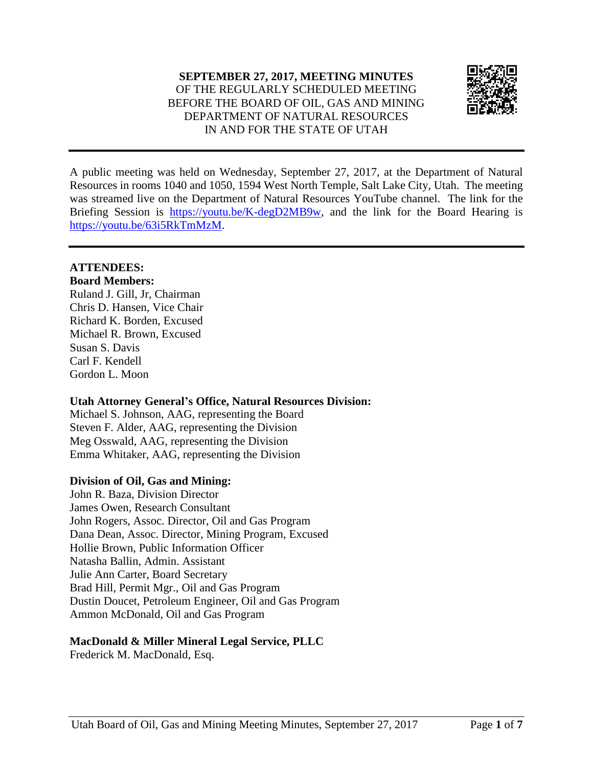

A public meeting was held on Wednesday, September 27, 2017, at the Department of Natural Resources in rooms 1040 and 1050, 1594 West North Temple, Salt Lake City, Utah. The meeting was streamed live on the Department of Natural Resources YouTube channel. The link for the Briefing Session is [https://youtu.be/K-degD2MB9w,](https://youtu.be/K-degD2MB9w) and the link for the Board Hearing is [https://youtu.be/63i5RkTmMzM.](https://youtu.be/63i5RkTmMzM)

### **ATTENDEES:**

### **Board Members:**

Ruland J. Gill, Jr, Chairman Chris D. Hansen, Vice Chair Richard K. Borden, Excused Michael R. Brown, Excused Susan S. Davis Carl F. Kendell Gordon L. Moon

### **Utah Attorney General's Office, Natural Resources Division:**

Michael S. Johnson, AAG, representing the Board Steven F. Alder, AAG, representing the Division Meg Osswald, AAG, representing the Division Emma Whitaker, AAG, representing the Division

# **Division of Oil, Gas and Mining:**

John R. Baza, Division Director James Owen, Research Consultant John Rogers, Assoc. Director, Oil and Gas Program Dana Dean, Assoc. Director, Mining Program, Excused Hollie Brown, Public Information Officer Natasha Ballin, Admin. Assistant Julie Ann Carter, Board Secretary Brad Hill, Permit Mgr., Oil and Gas Program Dustin Doucet, Petroleum Engineer, Oil and Gas Program Ammon McDonald, Oil and Gas Program

### **MacDonald & Miller Mineral Legal Service, PLLC**

Frederick M. MacDonald, Esq.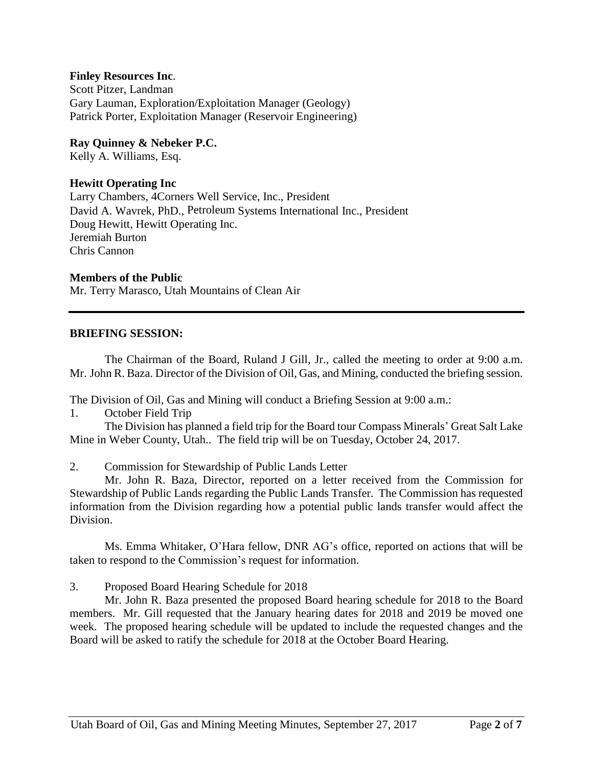#### **Finley Resources Inc**.

Scott Pitzer, Landman Gary Lauman, Exploration/Exploitation Manager (Geology) Patrick Porter, Exploitation Manager (Reservoir Engineering)

**Ray Quinney & Nebeker P.C.**

Kelly A. Williams, Esq.

#### **Hewitt Operating Inc**

Larry Chambers, 4Corners Well Service, Inc., President David A. Wavrek, PhD., Petroleum Systems International Inc., President Doug Hewitt, Hewitt Operating Inc. Jeremiah Burton Chris Cannon

#### **Members of the Public**

Mr. Terry Marasco, Utah Mountains of Clean Air

#### **BRIEFING SESSION:**

The Chairman of the Board, Ruland J Gill, Jr., called the meeting to order at 9:00 a.m. Mr. John R. Baza. Director of the Division of Oil, Gas, and Mining, conducted the briefing session.

The Division of Oil, Gas and Mining will conduct a Briefing Session at 9:00 a.m.:

1. October Field Trip

The Division has planned a field trip for the Board tour Compass Minerals' Great Salt Lake Mine in Weber County, Utah.. The field trip will be on Tuesday, October 24, 2017.

2. Commission for Stewardship of Public Lands Letter

Mr. John R. Baza, Director, reported on a letter received from the Commission for Stewardship of Public Lands regarding the Public Lands Transfer. The Commission has requested information from the Division regarding how a potential public lands transfer would affect the Division.

Ms. Emma Whitaker, O'Hara fellow, DNR AG's office, reported on actions that will be taken to respond to the Commission's request for information.

3. Proposed Board Hearing Schedule for 2018

Mr. John R. Baza presented the proposed Board hearing schedule for 2018 to the Board members. Mr. Gill requested that the January hearing dates for 2018 and 2019 be moved one week. The proposed hearing schedule will be updated to include the requested changes and the Board will be asked to ratify the schedule for 2018 at the October Board Hearing.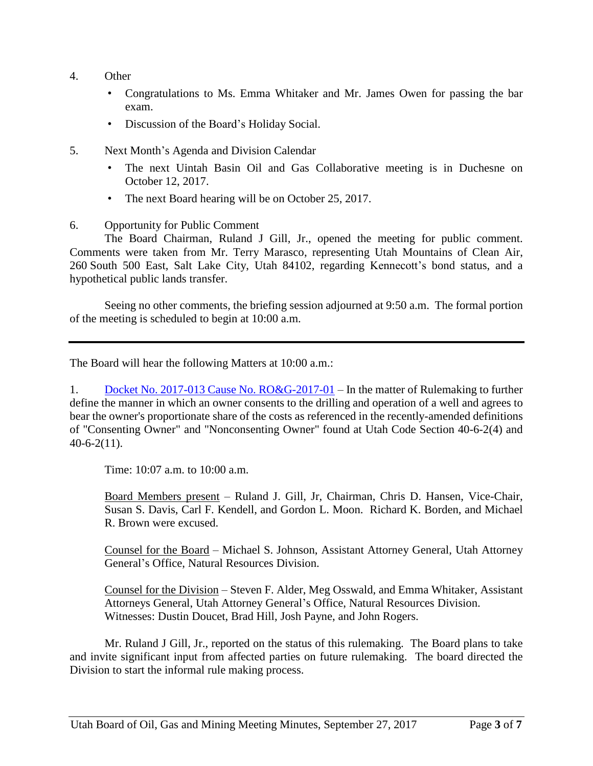- 4. Other
	- Congratulations to Ms. Emma Whitaker and Mr. James Owen for passing the bar exam.
	- Discussion of the Board's Holiday Social.
- 5. Next Month's Agenda and Division Calendar
	- The next Uintah Basin Oil and Gas Collaborative meeting is in Duchesne on October 12, 2017.
	- The next Board hearing will be on October 25, 2017.
- 6. Opportunity for Public Comment

The Board Chairman, Ruland J Gill, Jr., opened the meeting for public comment. Comments were taken from Mr. Terry Marasco, representing Utah Mountains of Clean Air, 260 South 500 East, Salt Lake City, Utah 84102, regarding Kennecott's bond status, and a hypothetical public lands transfer.

Seeing no other comments, the briefing session adjourned at 9:50 a.m. The formal portion of the meeting is scheduled to begin at 10:00 a.m.

The Board will hear the following Matters at 10:00 a.m.:

1. Docket No. 2017-013 Cause No. [RO&G-2017-01](http://ogm.utah.gov/amr/boardtemp/redesign/2017/06_Jun/Dockets/2017-013_RO&G-2017-01_40-6-2(4)and-2(11).php) – In the matter of Rulemaking to further define the manner in which an owner consents to the drilling and operation of a well and agrees to bear the owner's proportionate share of the costs as referenced in the recently-amended definitions of "Consenting Owner" and "Nonconsenting Owner" found at Utah Code Section 40-6-2(4) and 40-6-2(11).

Time: 10:07 a.m. to 10:00 a.m.

Board Members present – Ruland J. Gill, Jr, Chairman, Chris D. Hansen, Vice-Chair, Susan S. Davis, Carl F. Kendell, and Gordon L. Moon. Richard K. Borden, and Michael R. Brown were excused.

Counsel for the Board – Michael S. Johnson, Assistant Attorney General, Utah Attorney General's Office, Natural Resources Division.

Counsel for the Division – Steven F. Alder, Meg Osswald, and Emma Whitaker, Assistant Attorneys General, Utah Attorney General's Office, Natural Resources Division. Witnesses: Dustin Doucet, Brad Hill, Josh Payne, and John Rogers.

Mr. Ruland J Gill, Jr., reported on the status of this rulemaking. The Board plans to take and invite significant input from affected parties on future rulemaking. The board directed the Division to start the informal rule making process.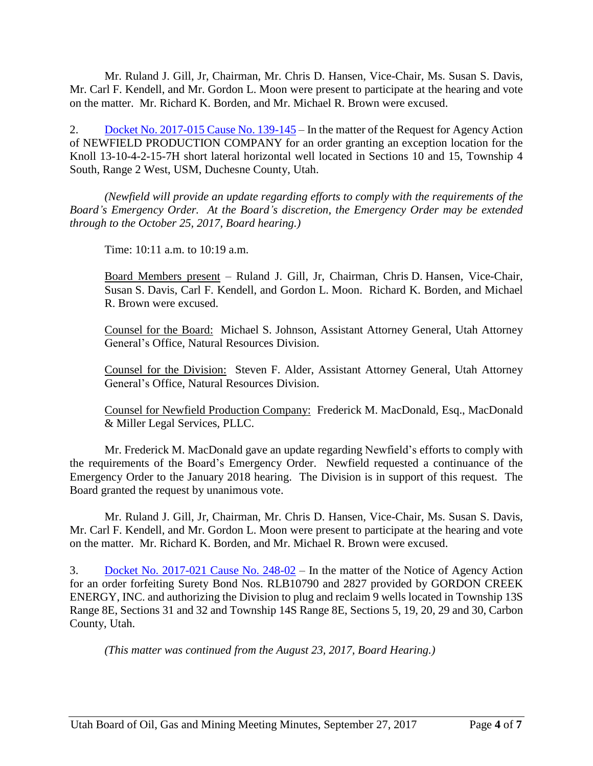Mr. Ruland J. Gill, Jr, Chairman, Mr. Chris D. Hansen, Vice-Chair, Ms. Susan S. Davis, Mr. Carl F. Kendell, and Mr. Gordon L. Moon were present to participate at the hearing and vote on the matter. Mr. Richard K. Borden, and Mr. Michael R. Brown were excused.

2. Docket No. [2017-015](http://ogm.utah.gov/amr/boardtemp/redesign/2017/09_Sep/Dockets/2017-015_139-145_Newfield.php) Cause No. 139-145 – In the matter of the Request for Agency Action of NEWFIELD PRODUCTION COMPANY for an order granting an exception location for the Knoll 13-10-4-2-15-7H short lateral horizontal well located in Sections 10 and 15, Township 4 South, Range 2 West, USM, Duchesne County, Utah.

*(Newfield will provide an update regarding efforts to comply with the requirements of the Board's Emergency Order. At the Board's discretion, the Emergency Order may be extended through to the October 25, 2017, Board hearing.)*

Time: 10:11 a.m. to 10:19 a.m.

Board Members present – Ruland J. Gill, Jr, Chairman, Chris D. Hansen, Vice-Chair, Susan S. Davis, Carl F. Kendell, and Gordon L. Moon. Richard K. Borden, and Michael R. Brown were excused.

Counsel for the Board: Michael S. Johnson, Assistant Attorney General, Utah Attorney General's Office, Natural Resources Division.

Counsel for the Division: Steven F. Alder, Assistant Attorney General, Utah Attorney General's Office, Natural Resources Division.

Counsel for Newfield Production Company: Frederick M. MacDonald, Esq., MacDonald & Miller Legal Services, PLLC.

Mr. Frederick M. MacDonald gave an update regarding Newfield's efforts to comply with the requirements of the Board's Emergency Order. Newfield requested a continuance of the Emergency Order to the January 2018 hearing. The Division is in support of this request. The Board granted the request by unanimous vote.

Mr. Ruland J. Gill, Jr, Chairman, Mr. Chris D. Hansen, Vice-Chair, Ms. Susan S. Davis, Mr. Carl F. Kendell, and Mr. Gordon L. Moon were present to participate at the hearing and vote on the matter. Mr. Richard K. Borden, and Mr. Michael R. Brown were excused.

3. Docket No. [2017-021](http://ogm.utah.gov/amr/boardtemp/redesign/2017/09_Sep/Dockets/2017-021_248-02_GordonCreek.php) Cause No. 248-02 – In the matter of the Notice of Agency Action for an order forfeiting Surety Bond Nos. RLB10790 and 2827 provided by GORDON CREEK ENERGY, INC. and authorizing the Division to plug and reclaim 9 wells located in Township 13S Range 8E, Sections 31 and 32 and Township 14S Range 8E, Sections 5, 19, 20, 29 and 30, Carbon County, Utah.

*(This matter was continued from the August 23, 2017, Board Hearing.)*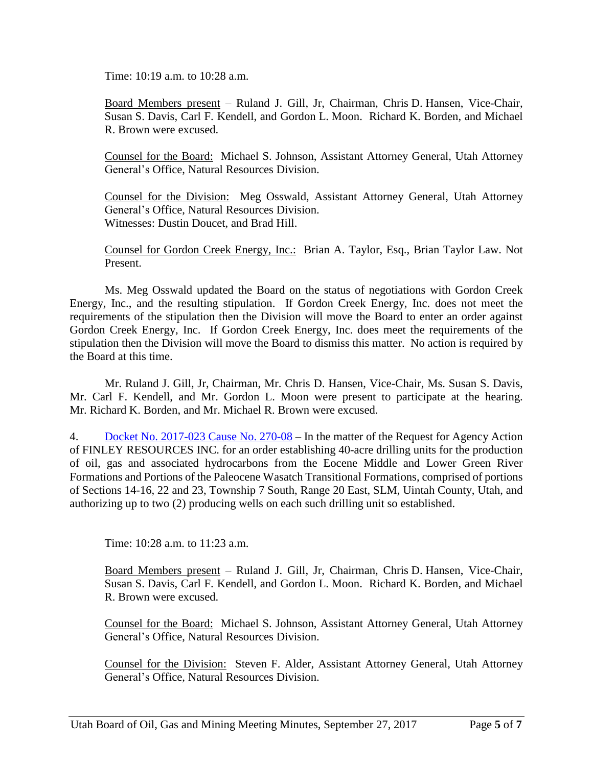Time: 10:19 a.m. to 10:28 a.m.

Board Members present – Ruland J. Gill, Jr, Chairman, Chris D. Hansen, Vice-Chair, Susan S. Davis, Carl F. Kendell, and Gordon L. Moon. Richard K. Borden, and Michael R. Brown were excused.

Counsel for the Board: Michael S. Johnson, Assistant Attorney General, Utah Attorney General's Office, Natural Resources Division.

Counsel for the Division: Meg Osswald, Assistant Attorney General, Utah Attorney General's Office, Natural Resources Division. Witnesses: Dustin Doucet, and Brad Hill.

Counsel for Gordon Creek Energy, Inc.: Brian A. Taylor, Esq., Brian Taylor Law. Not Present.

Ms. Meg Osswald updated the Board on the status of negotiations with Gordon Creek Energy, Inc., and the resulting stipulation. If Gordon Creek Energy, Inc. does not meet the requirements of the stipulation then the Division will move the Board to enter an order against Gordon Creek Energy, Inc. If Gordon Creek Energy, Inc. does meet the requirements of the stipulation then the Division will move the Board to dismiss this matter. No action is required by the Board at this time.

Mr. Ruland J. Gill, Jr, Chairman, Mr. Chris D. Hansen, Vice-Chair, Ms. Susan S. Davis, Mr. Carl F. Kendell, and Mr. Gordon L. Moon were present to participate at the hearing. Mr. Richard K. Borden, and Mr. Michael R. Brown were excused.

4. Docket No. [2017-023](http://ogm.utah.gov/amr/boardtemp/redesign/2017/09_Sep/Dockets/2017-023_270-08_Finley.php) Cause No. 270-08 – In the matter of the Request for Agency Action of FINLEY RESOURCES INC. for an order establishing 40-acre drilling units for the production of oil, gas and associated hydrocarbons from the Eocene Middle and Lower Green River Formations and Portions of the Paleocene Wasatch Transitional Formations, comprised of portions of Sections 14-16, 22 and 23, Township 7 South, Range 20 East, SLM, Uintah County, Utah, and authorizing up to two (2) producing wells on each such drilling unit so established.

Time: 10:28 a.m. to 11:23 a.m.

Board Members present – Ruland J. Gill, Jr, Chairman, Chris D. Hansen, Vice-Chair, Susan S. Davis, Carl F. Kendell, and Gordon L. Moon. Richard K. Borden, and Michael R. Brown were excused.

Counsel for the Board: Michael S. Johnson, Assistant Attorney General, Utah Attorney General's Office, Natural Resources Division.

Counsel for the Division: Steven F. Alder, Assistant Attorney General, Utah Attorney General's Office, Natural Resources Division.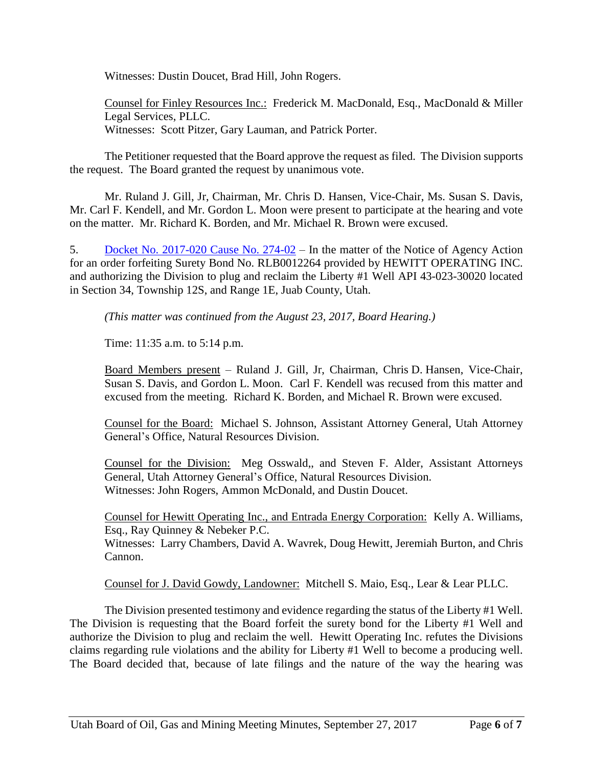Witnesses: Dustin Doucet, Brad Hill, John Rogers.

Counsel for Finley Resources Inc.: Frederick M. MacDonald, Esq., MacDonald & Miller Legal Services, PLLC. Witnesses: Scott Pitzer, Gary Lauman, and Patrick Porter.

The Petitioner requested that the Board approve the request as filed. The Division supports the request. The Board granted the request by unanimous vote.

Mr. Ruland J. Gill, Jr, Chairman, Mr. Chris D. Hansen, Vice-Chair, Ms. Susan S. Davis, Mr. Carl F. Kendell, and Mr. Gordon L. Moon were present to participate at the hearing and vote on the matter. Mr. Richard K. Borden, and Mr. Michael R. Brown were excused.

5. Docket No. [2017-020](http://ogm.utah.gov/amr/boardtemp/redesign/2017/09_Sep/Dockets/2017-020_274-02_Hewitt.php) Cause No. 274-02 – In the matter of the Notice of Agency Action for an order forfeiting Surety Bond No. RLB0012264 provided by HEWITT OPERATING INC. and authorizing the Division to plug and reclaim the Liberty #1 Well API 43-023-30020 located in Section 34, Township 12S, and Range 1E, Juab County, Utah.

*(This matter was continued from the August 23, 2017, Board Hearing.)*

Time: 11:35 a.m. to 5:14 p.m.

Board Members present – Ruland J. Gill, Jr, Chairman, Chris D. Hansen, Vice-Chair, Susan S. Davis, and Gordon L. Moon. Carl F. Kendell was recused from this matter and excused from the meeting. Richard K. Borden, and Michael R. Brown were excused.

Counsel for the Board: Michael S. Johnson, Assistant Attorney General, Utah Attorney General's Office, Natural Resources Division.

Counsel for the Division: Meg Osswald,, and Steven F. Alder, Assistant Attorneys General, Utah Attorney General's Office, Natural Resources Division. Witnesses: John Rogers, Ammon McDonald, and Dustin Doucet.

Counsel for Hewitt Operating Inc., and Entrada Energy Corporation: Kelly A. Williams, Esq., Ray Quinney & Nebeker P.C.

Witnesses: Larry Chambers, David A. Wavrek, Doug Hewitt, Jeremiah Burton, and Chris Cannon.

Counsel for J. David Gowdy, Landowner: Mitchell S. Maio, Esq., Lear & Lear PLLC.

The Division presented testimony and evidence regarding the status of the Liberty #1 Well. The Division is requesting that the Board forfeit the surety bond for the Liberty #1 Well and authorize the Division to plug and reclaim the well. Hewitt Operating Inc. refutes the Divisions claims regarding rule violations and the ability for Liberty #1 Well to become a producing well. The Board decided that, because of late filings and the nature of the way the hearing was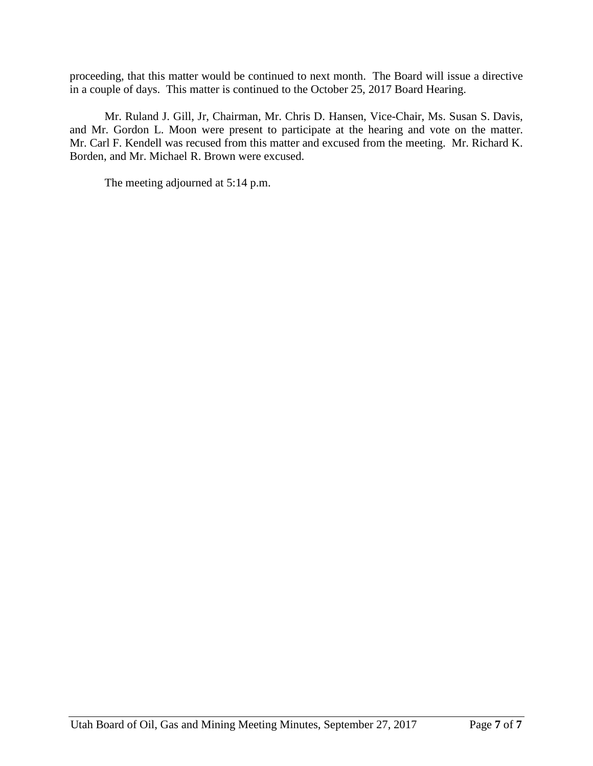proceeding, that this matter would be continued to next month. The Board will issue a directive in a couple of days. This matter is continued to the October 25, 2017 Board Hearing.

Mr. Ruland J. Gill, Jr, Chairman, Mr. Chris D. Hansen, Vice-Chair, Ms. Susan S. Davis, and Mr. Gordon L. Moon were present to participate at the hearing and vote on the matter. Mr. Carl F. Kendell was recused from this matter and excused from the meeting. Mr. Richard K. Borden, and Mr. Michael R. Brown were excused.

The meeting adjourned at 5:14 p.m.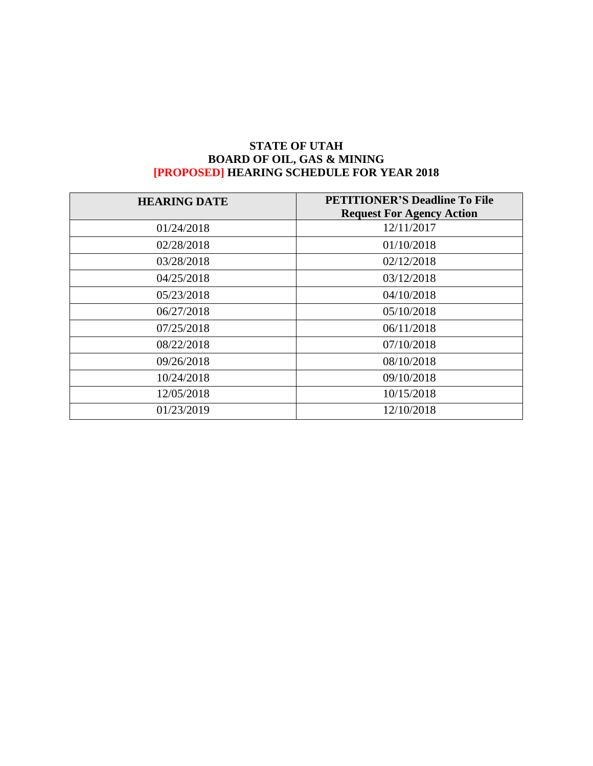# **STATE OF UTAH BOARD OF OIL, GAS & MINING [PROPOSED] HEARING SCHEDULE FOR YEAR 2018**

| <b>HEARING DATE</b> | <b>PETITIONER'S Deadline To File</b><br><b>Request For Agency Action</b> |
|---------------------|--------------------------------------------------------------------------|
| 01/24/2018          | 12/11/2017                                                               |
| 02/28/2018          | 01/10/2018                                                               |
| 03/28/2018          | 02/12/2018                                                               |
| 04/25/2018          | 03/12/2018                                                               |
| 05/23/2018          | 04/10/2018                                                               |
| 06/27/2018          | 05/10/2018                                                               |
| 07/25/2018          | 06/11/2018                                                               |
| 08/22/2018          | 07/10/2018                                                               |
| 09/26/2018          | 08/10/2018                                                               |
| 10/24/2018          | 09/10/2018                                                               |
| 12/05/2018          | 10/15/2018                                                               |
| 01/23/2019          | 12/10/2018                                                               |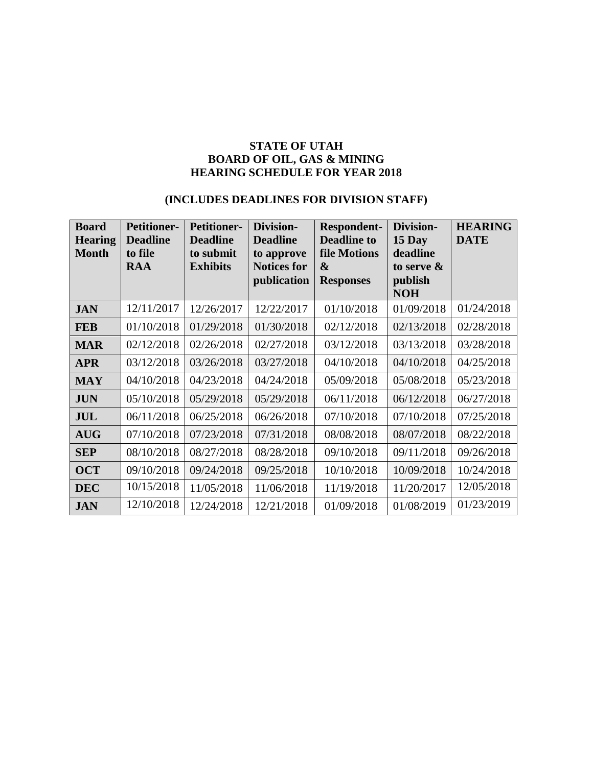### **STATE OF UTAH BOARD OF OIL, GAS & MINING HEARING SCHEDULE FOR YEAR 2018**

# **(INCLUDES DEADLINES FOR DIVISION STAFF)**

| <b>Board</b><br><b>Hearing</b><br><b>Month</b> | <b>Petitioner-</b><br><b>Deadline</b><br>to file<br><b>RAA</b> | <b>Petitioner-</b><br><b>Deadline</b><br>to submit<br><b>Exhibits</b> | Division-<br><b>Deadline</b><br>to approve<br><b>Notices for</b><br>publication | <b>Respondent-</b><br><b>Deadline to</b><br>file Motions<br>&<br><b>Responses</b> | <b>Division-</b><br>15 Day<br>deadline<br>to serve $\&$<br>publish<br><b>NOH</b> | <b>HEARING</b><br><b>DATE</b> |
|------------------------------------------------|----------------------------------------------------------------|-----------------------------------------------------------------------|---------------------------------------------------------------------------------|-----------------------------------------------------------------------------------|----------------------------------------------------------------------------------|-------------------------------|
| <b>JAN</b>                                     | 12/11/2017                                                     | 12/26/2017                                                            | 12/22/2017                                                                      | 01/10/2018                                                                        | 01/09/2018                                                                       | 01/24/2018                    |
| <b>FEB</b>                                     | 01/10/2018                                                     | 01/29/2018                                                            | 01/30/2018                                                                      | 02/12/2018                                                                        | 02/13/2018                                                                       | 02/28/2018                    |
| <b>MAR</b>                                     | 02/12/2018                                                     | 02/26/2018                                                            | 02/27/2018                                                                      | 03/12/2018                                                                        | 03/13/2018                                                                       | 03/28/2018                    |
| <b>APR</b>                                     | 03/12/2018                                                     | 03/26/2018                                                            | 03/27/2018                                                                      | 04/10/2018                                                                        | 04/10/2018                                                                       | 04/25/2018                    |
| <b>MAY</b>                                     | 04/10/2018                                                     | 04/23/2018                                                            | 04/24/2018                                                                      | 05/09/2018                                                                        | 05/08/2018                                                                       | 05/23/2018                    |
| <b>JUN</b>                                     | 05/10/2018                                                     | 05/29/2018                                                            | 05/29/2018                                                                      | 06/11/2018                                                                        | 06/12/2018                                                                       | 06/27/2018                    |
| <b>JUL</b>                                     | 06/11/2018                                                     | 06/25/2018                                                            | 06/26/2018                                                                      | 07/10/2018                                                                        | 07/10/2018                                                                       | 07/25/2018                    |
| <b>AUG</b>                                     | 07/10/2018                                                     | 07/23/2018                                                            | 07/31/2018                                                                      | 08/08/2018                                                                        | 08/07/2018                                                                       | 08/22/2018                    |
| <b>SEP</b>                                     | 08/10/2018                                                     | 08/27/2018                                                            | 08/28/2018                                                                      | 09/10/2018                                                                        | 09/11/2018                                                                       | 09/26/2018                    |
| <b>OCT</b>                                     | 09/10/2018                                                     | 09/24/2018                                                            | 09/25/2018                                                                      | 10/10/2018                                                                        | 10/09/2018                                                                       | 10/24/2018                    |
| <b>DEC</b>                                     | 10/15/2018                                                     | 11/05/2018                                                            | 11/06/2018                                                                      | 11/19/2018                                                                        | 11/20/2017                                                                       | 12/05/2018                    |
| <b>JAN</b>                                     | 12/10/2018                                                     | 12/24/2018                                                            | 12/21/2018                                                                      | 01/09/2018                                                                        | 01/08/2019                                                                       | 01/23/2019                    |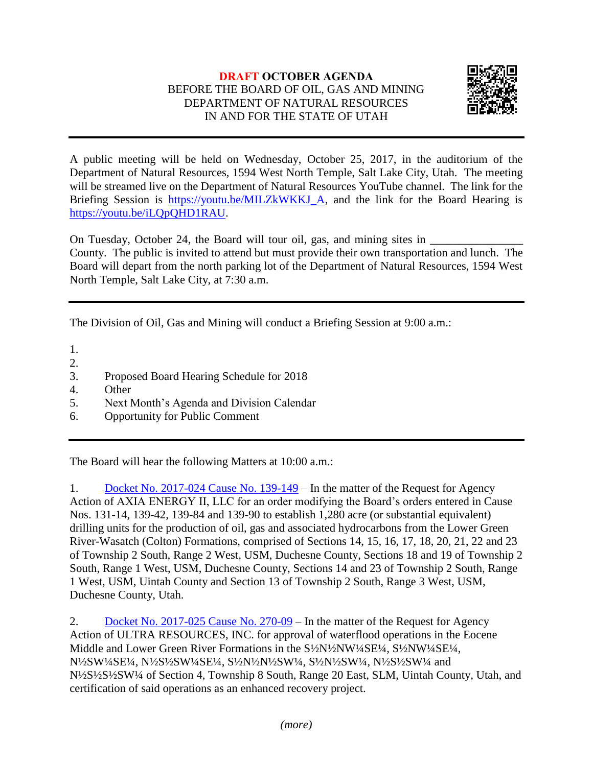# **DRAFT OCTOBER AGENDA** BEFORE THE BOARD OF OIL, GAS AND MINING DEPARTMENT OF NATURAL RESOURCES IN AND FOR THE STATE OF UTAH



A public meeting will be held on Wednesday, October 25, 2017, in the auditorium of the Department of Natural Resources, 1594 West North Temple, Salt Lake City, Utah. The meeting will be streamed live on the Department of Natural Resources YouTube channel. The link for the Briefing Session is [https://youtu.be/MILZkWKKJ\\_A,](https://youtu.be/MILZkWKKJ_A) and the link for the Board Hearing is [https://youtu.be/iLQpQHD1RAU.](https://youtu.be/iLQpQHD1RAU)

On Tuesday, October 24, the Board will tour oil, gas, and mining sites in County. The public is invited to attend but must provide their own transportation and lunch. The Board will depart from the north parking lot of the Department of Natural Resources, 1594 West North Temple, Salt Lake City, at 7:30 a.m.

The Division of Oil, Gas and Mining will conduct a Briefing Session at 9:00 a.m.:

1.

- 2.
- 3. Proposed Board Hearing Schedule for 2018
- 4. Other
- 5. Next Month's Agenda and Division Calendar
- 6. Opportunity for Public Comment

The Board will hear the following Matters at 10:00 a.m.:

1. [Docket No. 2017-024 Cause No. 139-149](http://ogm.utah.gov/amr/boardtemp/redesign/2017/10_Oct/Dockets/2017-024_139-149_Axia.php) – In the matter of the Request for Agency Action of AXIA ENERGY II, LLC for an order modifying the Board's orders entered in Cause Nos. 131-14, 139-42, 139-84 and 139-90 to establish 1,280 acre (or substantial equivalent) drilling units for the production of oil, gas and associated hydrocarbons from the Lower Green River-Wasatch (Colton) Formations, comprised of Sections 14, 15, 16, 17, 18, 20, 21, 22 and 23 of Township 2 South, Range 2 West, USM, Duchesne County, Sections 18 and 19 of Township 2 South, Range 1 West, USM, Duchesne County, Sections 14 and 23 of Township 2 South, Range 1 West, USM, Uintah County and Section 13 of Township 2 South, Range 3 West, USM, Duchesne County, Utah.

2. [Docket No. 2017-025 Cause No. 270-09](http://ogm.utah.gov/amr/boardtemp/redesign/2017/10_Oct/Dockets/2017-025_270-09_Ultra.php) – In the matter of the Request for Agency Action of ULTRA RESOURCES, INC. for approval of waterflood operations in the Eocene Middle and Lower Green River Formations in the S<sup>1</sup>/<sub>2</sub>NW<sup>1</sup>/4SE<sup>1</sup>/<sub>4</sub>, S<sup>1</sup>/<sub>2</sub>NW<sup>1</sup>/4SE<sup>1</sup>/<sub>4</sub>, N½SW¼SE¼, N½S½SW¼SE¼, S½N½N½SW¼, S½N½SW¼, N½S½SW¼ and N½S½S½SW¼ of Section 4, Township 8 South, Range 20 East, SLM, Uintah County, Utah, and certification of said operations as an enhanced recovery project.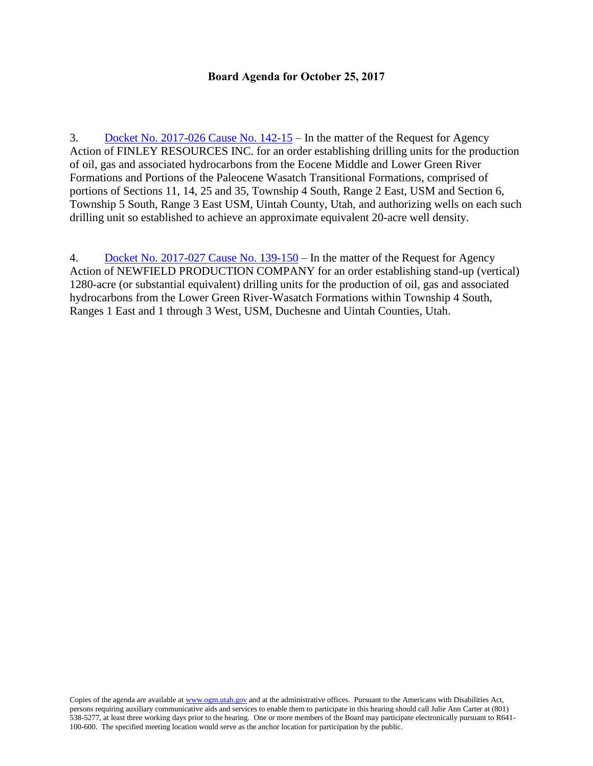#### **Board Agenda for October 25, 2017**

3. [Docket No. 2017-026 Cause No. 142-15](http://ogm.utah.gov/amr/boardtemp/redesign/2017/10_Oct/Dockets/2017-026_142-15_Finley.php) – In the matter of the Request for Agency Action of FINLEY RESOURCES INC. for an order establishing drilling units for the production of oil, gas and associated hydrocarbons from the Eocene Middle and Lower Green River Formations and Portions of the Paleocene Wasatch Transitional Formations, comprised of portions of Sections 11, 14, 25 and 35, Township 4 South, Range 2 East, USM and Section 6, Township 5 South, Range 3 East USM, Uintah County, Utah, and authorizing wells on each such drilling unit so established to achieve an approximate equivalent 20-acre well density.

4. [Docket No. 2017-027 Cause No. 139-150](http://ogm.utah.gov/amr/boardtemp/redesign/2017/10_Oct/Dockets/2017-027_139-150_Newfield.php) – In the matter of the Request for Agency Action of NEWFIELD PRODUCTION COMPANY for an order establishing stand-up (vertical) 1280-acre (or substantial equivalent) drilling units for the production of oil, gas and associated hydrocarbons from the Lower Green River-Wasatch Formations within Township 4 South, Ranges 1 East and 1 through 3 West, USM, Duchesne and Uintah Counties, Utah.

Copies of the agenda are available a[t www.ogm.utah.gov](http://www.ogm.utah.gov/) and at the administrative offices. Pursuant to the Americans with Disabilities Act, persons requiring auxiliary communicative aids and services to enable them to participate in this hearing should call Julie Ann Carter at (801) 538-5277, at least three working days prior to the hearing. One or more members of the Board may participate electronically pursuant to R641- 100-600. The specified meeting location would serve as the anchor location for participation by the public.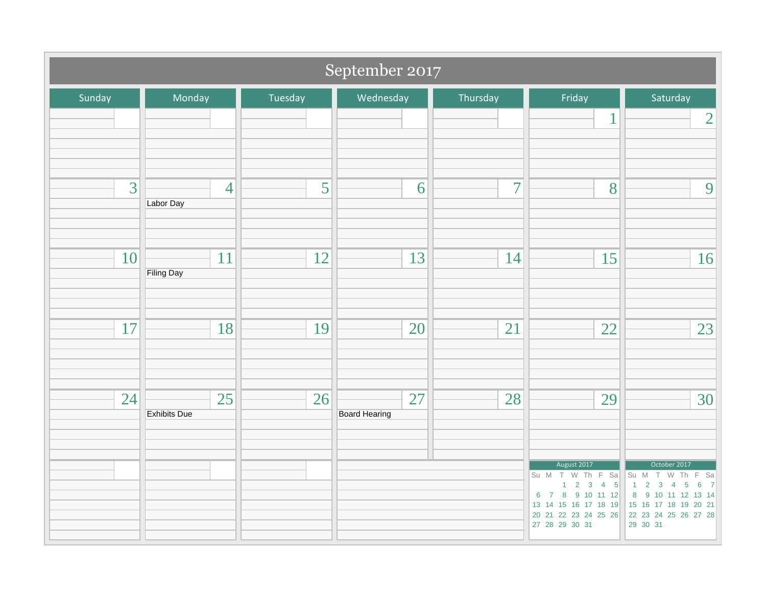| September 2017 |                             |         |                            |                |                                                                                                                                                                      |                                                                                                                                                                                                                      |
|----------------|-----------------------------|---------|----------------------------|----------------|----------------------------------------------------------------------------------------------------------------------------------------------------------------------|----------------------------------------------------------------------------------------------------------------------------------------------------------------------------------------------------------------------|
| Sunday         | Monday                      | Tuesday | Wednesday                  | Thursday       | Friday                                                                                                                                                               | Saturday                                                                                                                                                                                                             |
|                |                             |         |                            |                | $\mathbf{1}$                                                                                                                                                         | $\overline{2}$                                                                                                                                                                                                       |
| 3              | $\overline{4}$<br>Labor Day | 5       | 6                          | $\overline{7}$ | 8                                                                                                                                                                    | 9                                                                                                                                                                                                                    |
| 10             | 11<br><b>Filing Day</b>     | 12      | 13                         | 14             | 15                                                                                                                                                                   | 16                                                                                                                                                                                                                   |
| 17             | 18                          | 19      | 20                         | 21             | 22                                                                                                                                                                   | 23                                                                                                                                                                                                                   |
| 24             | 25<br><b>Exhibits Due</b>   | 26      | 27<br><b>Board Hearing</b> | 28             | 29                                                                                                                                                                   | 30                                                                                                                                                                                                                   |
|                |                             |         |                            |                | August 2017<br>Su M T W Th F Sa<br>$2 \quad 3 \quad 4 \quad 5$<br>$\mathbf{1}$<br>6 7 8 9 10 11 12<br>13 14 15 16 17 18 19<br>20 21 22 23 24 25 26<br>27 28 29 30 31 | October 2017<br>Su M T W Th F Sa<br>$\overline{1}$<br>$2 \quad 3$<br>$\overline{5}$<br>$\bf 6$<br>$\overline{4}$<br>$\overline{7}$<br>8 9 10 11 12 13 14<br>15 16 17 18 19 20 21<br>22 23 24 25 26 27 28<br>29 30 31 |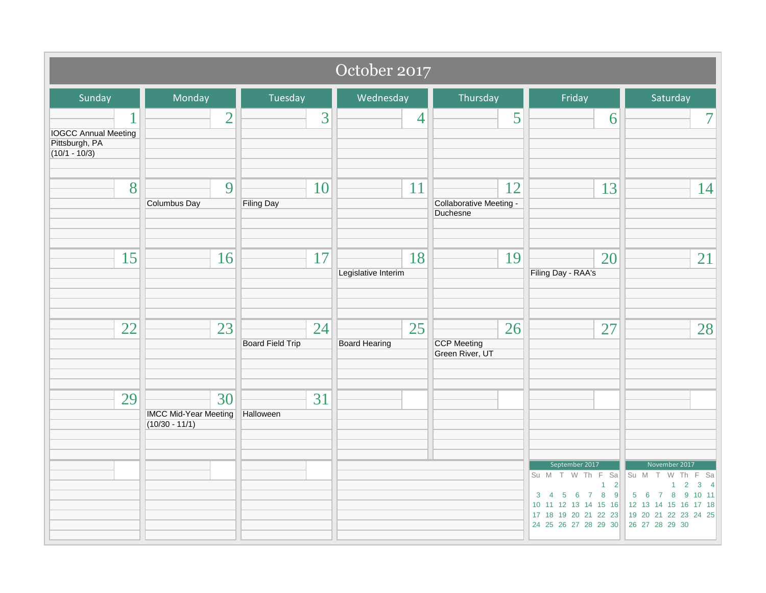| October 2017                                                     |                                                        |                               |                            |                                             |                                                                                                                                                          |                                                                                                                                                                         |
|------------------------------------------------------------------|--------------------------------------------------------|-------------------------------|----------------------------|---------------------------------------------|----------------------------------------------------------------------------------------------------------------------------------------------------------|-------------------------------------------------------------------------------------------------------------------------------------------------------------------------|
| Sunday                                                           | Monday                                                 | Tuesday                       | Wednesday                  | Thursday                                    | Friday                                                                                                                                                   | Saturday                                                                                                                                                                |
| <b>IOGCC Annual Meeting</b><br>Pittsburgh, PA<br>$(10/1 - 10/3)$ | $\overline{2}$                                         | 3                             | 4                          | 5                                           | 6                                                                                                                                                        | $\overline{7}$                                                                                                                                                          |
| 8                                                                | 9<br><b>Columbus Day</b>                               | 10<br><b>Filing Day</b>       | 11                         | 12<br>Collaborative Meeting -<br>Duchesne   | 13                                                                                                                                                       | 14                                                                                                                                                                      |
| 15                                                               | 16                                                     | 17                            | 18<br>Legislative Interim  | 19                                          | 20<br>Filing Day - RAA's                                                                                                                                 | 21                                                                                                                                                                      |
| 22                                                               | 23                                                     | 24<br><b>Board Field Trip</b> | 25<br><b>Board Hearing</b> | 26<br><b>CCP Meeting</b><br>Green River, UT | 27                                                                                                                                                       | 28                                                                                                                                                                      |
| 29                                                               | 30<br><b>IMCC Mid-Year Meeting</b><br>$(10/30 - 11/1)$ | 31<br>Halloween               |                            |                                             | September 2017<br>Su M T W Th F Sa<br>$1 \quad 2$<br>$3 \t4 \t5 \t6 \t7 \t8 \t9$<br>10 11 12 13 14 15 16<br>17 18 19 20 21 22 23<br>24 25 26 27 28 29 30 | November 2017<br>Su M T W Th F Sa<br>$\overline{2}$<br>$3 \quad 4$<br>$\mathbf{1}$<br>5 6 7 8 9 10 11<br>12 13 14 15 16 17 18<br>19 20 21 22 23 24 25<br>26 27 28 29 30 |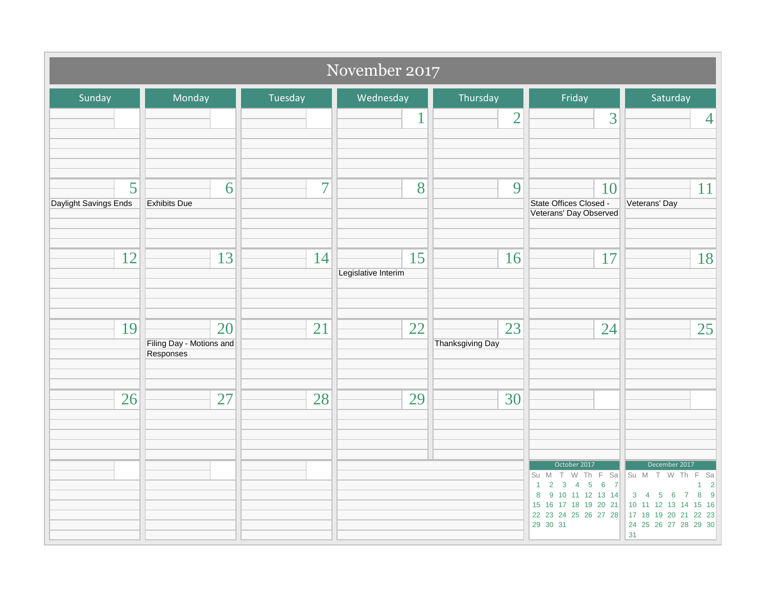| November 2017              |                                             |                |                           |                               |                                                                                                                                                               |                                                                                                                                                                           |
|----------------------------|---------------------------------------------|----------------|---------------------------|-------------------------------|---------------------------------------------------------------------------------------------------------------------------------------------------------------|---------------------------------------------------------------------------------------------------------------------------------------------------------------------------|
| Sunday                     | Monday                                      | Tuesday        | Wednesday                 | Thursday                      | Friday                                                                                                                                                        | Saturday                                                                                                                                                                  |
|                            |                                             |                | 1                         | $\overline{2}$                | 3                                                                                                                                                             | $\overline{4}$                                                                                                                                                            |
| 5<br>Daylight Savings Ends | 6<br><b>Exhibits Due</b>                    | $\overline{7}$ | 8                         | 9                             | 10<br>State Offices Closed -<br>Veterans' Day Observed                                                                                                        | 11<br>Veterans' Day                                                                                                                                                       |
| 12                         | 13                                          | 14             | 15<br>Legislative Interim | 16                            | 17                                                                                                                                                            | 18                                                                                                                                                                        |
| 19                         | 20<br>Filing Day - Motions and<br>Responses | 21             | 22                        | 23<br><b>Thanksgiving Day</b> | 24                                                                                                                                                            | 25                                                                                                                                                                        |
| 26                         | 27                                          | 28             | 29                        | 30                            |                                                                                                                                                               |                                                                                                                                                                           |
|                            |                                             |                |                           |                               | October 2017<br>Su M T W Th F Sa<br>$2 \t3 \t4 \t5 \t6 \t7$<br>$\mathbf{1}$<br>8 9 10 11 12 13 14<br>15 16 17 18 19 20 21<br>22 23 24 25 26 27 28<br>29 30 31 | December 2017<br>Su M T W Th<br>E<br>Sa<br>$\overline{2}$<br>$3 \quad 4$<br>9<br>5 6 7<br>8<br>10 11 12 13 14 15 16<br>17 18 19 20 21 22 23<br>24 25 26 27 28 29 30<br>31 |